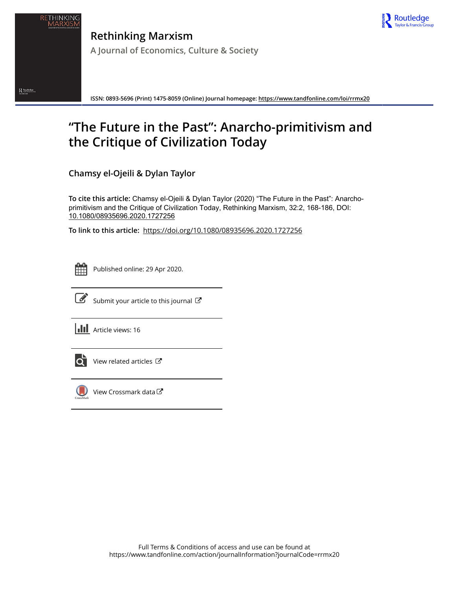

**Rethinking Marxism A Journal of Economics, Culture & Society**

**ISSN: 0893-5696 (Print) 1475-8059 (Online) Journal homepage:<https://www.tandfonline.com/loi/rrmx20>**

# **"The Future in the Past": Anarcho-primitivism and the Critique of Civilization Today**

**Chamsy el-Ojeili & Dylan Taylor**

**To cite this article:** Chamsy el-Ojeili & Dylan Taylor (2020) "The Future in the Past": Anarchoprimitivism and the Critique of Civilization Today, Rethinking Marxism, 32:2, 168-186, DOI: [10.1080/08935696.2020.1727256](https://www.tandfonline.com/action/showCitFormats?doi=10.1080/08935696.2020.1727256)

**To link to this article:** <https://doi.org/10.1080/08935696.2020.1727256>



 $\sum_{\text{symmetry}}\text{Rootedge}\xspace_{\text{symmetry}}$ 

Published online: 29 Apr 2020.



 $\overrightarrow{S}$  [Submit your article to this journal](https://www.tandfonline.com/action/authorSubmission?journalCode=rrmx20&show=instructions)  $\overrightarrow{S}$ 

**III** Article views: 16



[View related articles](https://www.tandfonline.com/doi/mlt/10.1080/08935696.2020.1727256)  $\mathbb{Z}$ 



[View Crossmark data](http://crossmark.crossref.org/dialog/?doi=10.1080/08935696.2020.1727256&domain=pdf&date_stamp=2020-04-29)<sup>C</sup>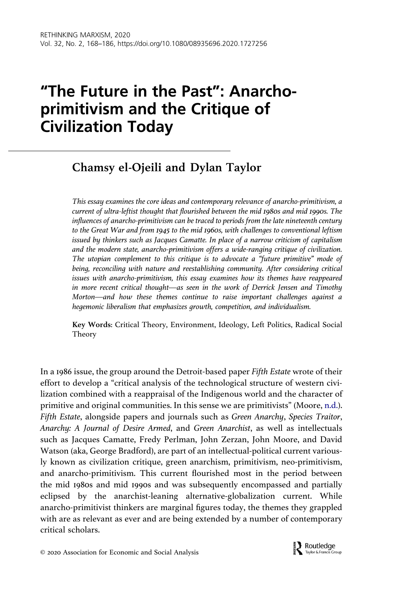## <span id="page-1-0"></span>"The Future in the Past": Anarchoprimitivism and the Critique of Civilization Today

### Chamsy el-Ojeili and Dylan Taylor

This essay examines the core ideas and contemporary relevance of anarcho-primitivism, a current of ultra-leftist thought that flourished between the mid 1980s and mid 1990s. The influences of anarcho-primitivism can be traced to periods from the late nineteenth century to the Great War and from 1945 to the mid 1960s, with challenges to conventional leftism issued by thinkers such as Jacques Camatte. In place of a narrow criticism of capitalism and the modern state, anarcho-primitivism offers a wide-ranging critique of civilization. The utopian complement to this critique is to advocate a "future primitive" mode of being, reconciling with nature and reestablishing community. After considering critical issues with anarcho-primitivism, this essay examines how its themes have reappeared in more recent critical thought—as seen in the work of Derrick Jensen and Timothy Morton—and how these themes continue to raise important challenges against a hegemonic liberalism that emphasizes growth, competition, and individualism.

Key Words: Critical Theory, Environment, Ideology, Left Politics, Radical Social Theory

In a 1986 issue, the group around the Detroit-based paper Fifth Estate wrote of their effort to develop a "critical analysis of the technological structure of western civilization combined with a reappraisal of the Indigenous world and the character of primitive and original communities. In this sense we are primitivists" (Moore, [n.d.\)](#page-18-0). Fifth Estate, alongside papers and journals such as Green Anarchy, Species Traitor, Anarchy: A Journal of Desire Armed, and Green Anarchist, as well as intellectuals such as Jacques Camatte, Fredy Perlman, John Zerzan, John Moore, and David Watson (aka, George Bradford), are part of an intellectual-political current variously known as civilization critique, green anarchism, primitivism, neo-primitivism, and anarcho-primitivism. This current flourished most in the period between the mid 1980s and mid 1990s and was subsequently encompassed and partially eclipsed by the anarchist-leaning alternative-globalization current. While anarcho-primitivist thinkers are marginal figures today, the themes they grappled with are as relevant as ever and are being extended by a number of contemporary critical scholars.

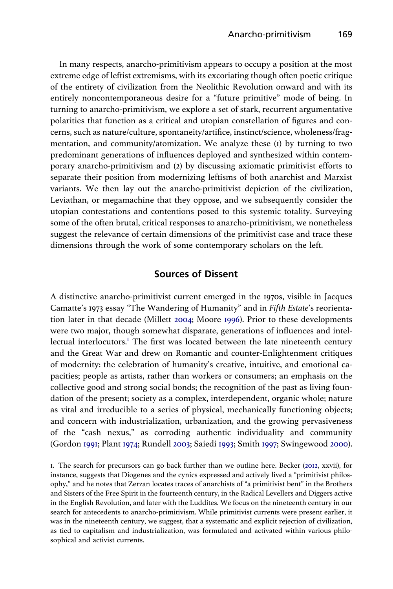<span id="page-2-0"></span>In many respects, anarcho-primitivism appears to occupy a position at the most extreme edge of leftist extremisms, with its excoriating though often poetic critique of the entirety of civilization from the Neolithic Revolution onward and with its entirely noncontemporaneous desire for a "future primitive" mode of being. In turning to anarcho-primitivism, we explore a set of stark, recurrent argumentative polarities that function as a critical and utopian constellation of figures and concerns, such as nature/culture, spontaneity/artifice, instinct/science, wholeness/fragmentation, and community/atomization. We analyze these (1) by turning to two predominant generations of influences deployed and synthesized within contemporary anarcho-primitivism and (2) by discussing axiomatic primitivist efforts to separate their position from modernizing leftisms of both anarchist and Marxist variants. We then lay out the anarcho-primitivist depiction of the civilization, Leviathan, or megamachine that they oppose, and we subsequently consider the utopian contestations and contentions posed to this systemic totality. Surveying some of the often brutal, critical responses to anarcho-primitivism, we nonetheless suggest the relevance of certain dimensions of the primitivist case and trace these dimensions through the work of some contemporary scholars on the left.

#### Sources of Dissent

A distinctive anarcho-primitivist current emerged in the 1970s, visible in Jacques Camatte's 1973 essay "The Wandering of Humanity" and in Fifth Estate's reorientation later in that decade (Millett [2004;](#page-18-0) Moore [1996](#page-18-0)). Prior to these developments were two major, though somewhat disparate, generations of influences and intellectual interlocutors.<sup>1</sup> The first was located between the late nineteenth century and the Great War and drew on Romantic and counter-Enlightenment critiques of modernity: the celebration of humanity's creative, intuitive, and emotional capacities; people as artists, rather than workers or consumers; an emphasis on the collective good and strong social bonds; the recognition of the past as living foundation of the present; society as a complex, interdependent, organic whole; nature as vital and irreducible to a series of physical, mechanically functioning objects; and concern with industrialization, urbanization, and the growing pervasiveness of the "cash nexus," as corroding authentic individuality and community (Gordon [1991;](#page-17-0) Plant [1974](#page-18-0); Rundell [2003;](#page-18-0) Saiedi [1993](#page-18-0); Smith [1997;](#page-19-0) Swingewood [2000\)](#page-19-0).

1. The search for precursors can go back further than we outline here. Becker [\(2012,](#page-16-0) xxvii), for instance, suggests that Diogenes and the cynics expressed and actively lived a "primitivist philosophy," and he notes that Zerzan locates traces of anarchists of "a primitivist bent" in the Brothers and Sisters of the Free Spirit in the fourteenth century, in the Radical Levellers and Diggers active in the English Revolution, and later with the Luddites. We focus on the nineteenth century in our search for antecedents to anarcho-primitivism. While primitivist currents were present earlier, it was in the nineteenth century, we suggest, that a systematic and explicit rejection of civilization, as tied to capitalism and industrialization, was formulated and activated within various philosophical and activist currents.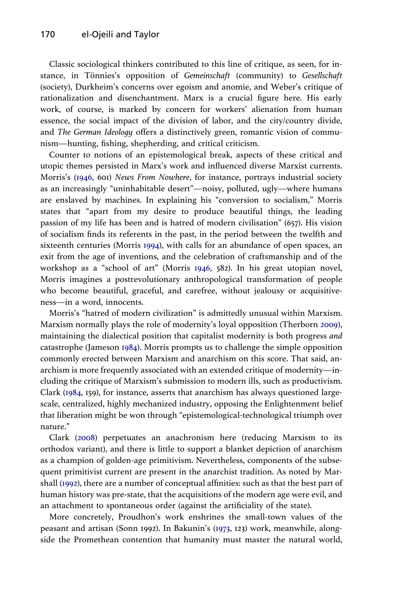<span id="page-3-0"></span>Classic sociological thinkers contributed to this line of critique, as seen, for instance, in Tönnies's opposition of Gemeinschaft (community) to Gesellschaft (society), Durkheim's concerns over egoism and anomie, and Weber's critique of rationalization and disenchantment. Marx is a crucial figure here. His early work, of course, is marked by concern for workers' alienation from human essence, the social impact of the division of labor, and the city/country divide, and The German Ideology offers a distinctively green, romantic vision of communism—hunting, fishing, shepherding, and critical criticism.

Counter to notions of an epistemological break, aspects of these critical and utopic themes persisted in Marx's work and influenced diverse Marxist currents. Morris's [\(1946,](#page-18-0) 601) News From Nowhere, for instance, portrays industrial society as an increasingly "uninhabitable desert"—noisy, polluted, ugly—where humans are enslaved by machines. In explaining his "conversion to socialism," Morris states that "apart from my desire to produce beautiful things, the leading passion of my life has been and is hatred of modern civilisation" (657). His vision of socialism finds its referents in the past, in the period between the twelfth and sixteenth centuries (Morris [1994](#page-18-0)), with calls for an abundance of open spaces, an exit from the age of inventions, and the celebration of craftsmanship and of the workshop as a "school of art" (Morris [1946,](#page-18-0) 582). In his great utopian novel, Morris imagines a postrevolutionary anthropological transformation of people who become beautiful, graceful, and carefree, without jealousy or acquisitiveness—in a word, innocents.

Morris's "hatred of modern civilization" is admittedly unusual within Marxism. Marxism normally plays the role of modernity's loyal opposition (Therborn [2009\)](#page-19-0), maintaining the dialectical position that capitalist modernity is both progress and catastrophe (Jameson [1984\)](#page-17-0). Morris prompts us to challenge the simple opposition commonly erected between Marxism and anarchism on this score. That said, anarchism is more frequently associated with an extended critique of modernity—including the critique of Marxism's submission to modern ills, such as productivism. Clark ([1984](#page-17-0), 159), for instance, asserts that anarchism has always questioned largescale, centralized, highly mechanized industry, opposing the Enlightenment belief that liberation might be won through "epistemological-technological triumph over nature."

Clark [\(2008\)](#page-17-0) perpetuates an anachronism here (reducing Marxism to its orthodox variant), and there is little to support a blanket depiction of anarchism as a champion of golden-age primitivism. Nevertheless, components of the subsequent primitivist current are present in the anarchist tradition. As noted by Marshall ([1992](#page-18-0)), there are a number of conceptual affinities: such as that the best part of human history was pre-state, that the acquisitions of the modern age were evil, and an attachment to spontaneous order (against the artificiality of the state).

More concretely, Proudhon's work enshrines the small-town values of the peasant and artisan (Sonn 1992). In Bakunin's ([1973,](#page-16-0) 123) work, meanwhile, alongside the Promethean contention that humanity must master the natural world,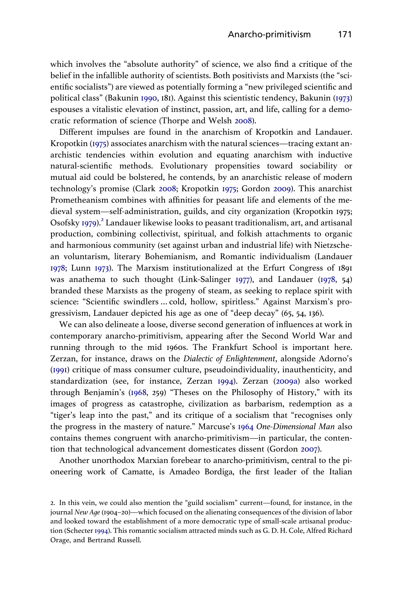<span id="page-4-0"></span>which involves the "absolute authority" of science, we also find a critique of the belief in the infallible authority of scientists. Both positivists and Marxists (the "scientific socialists") are viewed as potentially forming a "new privileged scientific and political class" (Bakunin [1990,](#page-16-0) 181). Against this scientistic tendency, Bakunin [\(1973](#page-16-0)) espouses a vitalistic elevation of instinct, passion, art, and life, calling for a democratic reformation of science (Thorpe and Welsh [2008\)](#page-19-0).

Different impulses are found in the anarchism of Kropotkin and Landauer. Kropotkin ([1975\)](#page-18-0) associates anarchism with the natural sciences—tracing extant anarchistic tendencies within evolution and equating anarchism with inductive natural-scientific methods. Evolutionary propensities toward sociability or mutual aid could be bolstered, he contends, by an anarchistic release of modern technology's promise (Clark [2008](#page-17-0); Kropotkin [1975](#page-18-0); Gordon [2009\)](#page-17-0). This anarchist Prometheanism combines with affinities for peasant life and elements of the medieval system—self-administration, guilds, and city organization (Kropotkin 1975; Osofsky [1979\)](#page-18-0).<sup>2</sup> Landauer likewise looks to peasant traditionalism, art, and artisanal production, combining collectivist, spiritual, and folkish attachments to organic and harmonious community (set against urban and industrial life) with Nietzschean voluntarism, literary Bohemianism, and Romantic individualism (Landauer [1978](#page-18-0); Lunn [1973\)](#page-18-0). The Marxism institutionalized at the Erfurt Congress of 1891 was anathema to such thought (Link-Salinger [1977](#page-18-0)), and Landauer ([1978,](#page-18-0) 54) branded these Marxists as the progeny of steam, as seeking to replace spirit with science: "Scientific swindlers … cold, hollow, spiritless." Against Marxism's progressivism, Landauer depicted his age as one of "deep decay" (65, 54, 136).

We can also delineate a loose, diverse second generation of influences at work in contemporary anarcho-primitivism, appearing after the Second World War and running through to the mid 1960s. The Frankfurt School is important here. Zerzan, for instance, draws on the Dialectic of Enlightenment, alongside Adorno's ([1991\)](#page-16-0) critique of mass consumer culture, pseudoindividuality, inauthenticity, and standardization (see, for instance, Zerzan [1994\)](#page-19-0). Zerzan ([2009a](#page-19-0)) also worked through Benjamin's [\(1968,](#page-16-0) 259) "Theses on the Philosophy of History," with its images of progress as catastrophe, civilization as barbarism, redemption as a "tiger's leap into the past," and its critique of a socialism that "recognises only the progress in the mastery of nature." Marcuse's [1964](#page-18-0) One-Dimensional Man also contains themes congruent with anarcho-primitivism—in particular, the contention that technological advancement domesticates dissent (Gordon [2007\)](#page-17-0).

Another unorthodox Marxian forebear to anarcho-primitivism, central to the pioneering work of Camatte, is Amadeo Bordiga, the first leader of the Italian

<sup>2.</sup> In this vein, we could also mention the "guild socialism" current—found, for instance, in the journal New Age (1904–20)—which focused on the alienating consequences of the division of labor and looked toward the establishment of a more democratic type of small-scale artisanal production (Schecter [1994\)](#page-18-0). This romantic socialism attracted minds such as G. D. H. Cole, Alfred Richard Orage, and Bertrand Russell.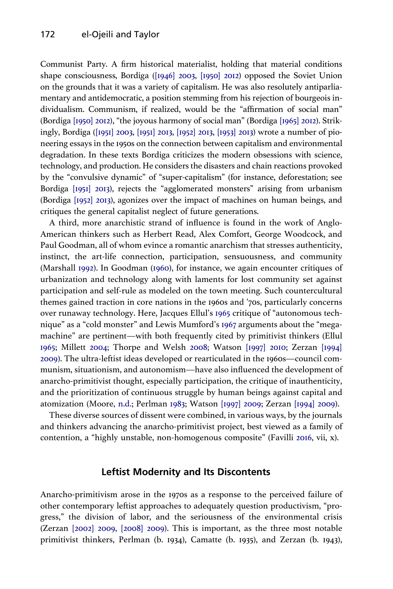<span id="page-5-0"></span>Communist Party. A firm historical materialist, holding that material conditions shape consciousness, Bordiga [\(\[1946\] 2003,](#page-17-0) [\[1950\] 2012\)](#page-17-0) opposed the Soviet Union on the grounds that it was a variety of capitalism. He was also resolutely antiparliamentary and antidemocratic, a position stemming from his rejection of bourgeois individualism. Communism, if realized, would be the "affirmation of social man" (Bordiga [\[1950\] 2012\)](#page-17-0), "the joyous harmony of social man" (Bordiga [\[1965\] 2012\)](#page-17-0). Strikingly, Bordiga [\(\[1951\] 2003](#page-17-0), [\[1951\] 2013,](#page-17-0) [\[1952\] 2013,](#page-17-0) [\[1953\] 2013](#page-17-0)) wrote a number of pioneering essays in the 1950s on the connection between capitalism and environmental degradation. In these texts Bordiga criticizes the modern obsessions with science, technology, and production. He considers the disasters and chain reactions provoked by the "convulsive dynamic" of "super-capitalism" (for instance, deforestation; see Bordiga [\[1951\] 2013](#page-17-0)), rejects the "agglomerated monsters" arising from urbanism (Bordiga [\[1952\] 2013](#page-17-0)), agonizes over the impact of machines on human beings, and critiques the general capitalist neglect of future generations.

A third, more anarchistic strand of influence is found in the work of Anglo-American thinkers such as Herbert Read, Alex Comfort, George Woodcock, and Paul Goodman, all of whom evince a romantic anarchism that stresses authenticity, instinct, the art-life connection, participation, sensuousness, and community (Marshall [1992](#page-18-0)). In Goodman [\(1960](#page-17-0)), for instance, we again encounter critiques of urbanization and technology along with laments for lost community set against participation and self-rule as modeled on the town meeting. Such countercultural themes gained traction in core nations in the 1960s and '70s, particularly concerns over runaway technology. Here, Jacques Ellul's [1965](#page-17-0) critique of "autonomous technique" as a "cold monster" and Lewis Mumford's [1967](#page-18-0) arguments about the "megamachine" are pertinent—with both frequently cited by primitivist thinkers (Ellul [1965](#page-17-0); Millett [2004;](#page-18-0) Thorpe and Welsh [2008;](#page-19-0) Watson [\[1997\] 2010;](#page-19-0) Zerzan [\[1994\]](#page-19-0) [2009](#page-19-0)). The ultra-leftist ideas developed or rearticulated in the 1960s—council communism, situationism, and autonomism—have also influenced the development of anarcho-primitivist thought, especially participation, the critique of inauthenticity, and the prioritization of continuous struggle by human beings against capital and atomization (Moore, [n.d.](#page-18-0); Perlman [1983](#page-18-0); Watson [\[1997\] 2009](#page-19-0); Zerzan [\[1994\] 2009](#page-19-0)).

These diverse sources of dissent were combined, in various ways, by the journals and thinkers advancing the anarcho-primitivist project, best viewed as a family of contention, a "highly unstable, non-homogenous composite" (Favilli [2016](#page-17-0), vii, x).

#### Leftist Modernity and Its Discontents

Anarcho-primitivism arose in the 1970s as a response to the perceived failure of other contemporary leftist approaches to adequately question productivism, "progress," the division of labor, and the seriousness of the environmental crisis (Zerzan [\[2002\] 2009,](#page-19-0) [\[2008\] 2009](#page-19-0)). This is important, as the three most notable primitivist thinkers, Perlman (b. 1934), Camatte (b. 1935), and Zerzan (b. 1943),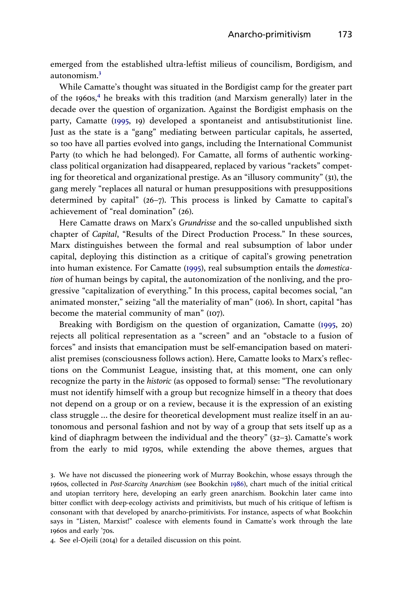<span id="page-6-0"></span>emerged from the established ultra-leftist milieus of councilism, Bordigism, and autonomism.3

While Camatte's thought was situated in the Bordigist camp for the greater part of the 1960s, $4$  he breaks with this tradition (and Marxism generally) later in the decade over the question of organization. Against the Bordigist emphasis on the party, Camatte [\(1995](#page-17-0), 19) developed a spontaneist and antisubstitutionist line. Just as the state is a "gang" mediating between particular capitals, he asserted, so too have all parties evolved into gangs, including the International Communist Party (to which he had belonged). For Camatte, all forms of authentic workingclass political organization had disappeared, replaced by various "rackets" competing for theoretical and organizational prestige. As an "illusory community" (31), the gang merely "replaces all natural or human presuppositions with presuppositions determined by capital" (26–7). This process is linked by Camatte to capital's achievement of "real domination" (26).

Here Camatte draws on Marx's Grundrisse and the so-called unpublished sixth chapter of Capital, "Results of the Direct Production Process." In these sources, Marx distinguishes between the formal and real subsumption of labor under capital, deploying this distinction as a critique of capital's growing penetration into human existence. For Camatte ([1995\)](#page-17-0), real subsumption entails the domestication of human beings by capital, the autonomization of the nonliving, and the progressive "capitalization of everything." In this process, capital becomes social, "an animated monster," seizing "all the materiality of man" (106). In short, capital "has become the material community of man" (107).

Breaking with Bordigism on the question of organization, Camatte [\(1995](#page-17-0), 20) rejects all political representation as a "screen" and an "obstacle to a fusion of forces" and insists that emancipation must be self-emancipation based on materialist premises (consciousness follows action). Here, Camatte looks to Marx's reflections on the Communist League, insisting that, at this moment, one can only recognize the party in the historic (as opposed to formal) sense: "The revolutionary must not identify himself with a group but recognize himself in a theory that does not depend on a group or on a review, because it is the expression of an existing class struggle … the desire for theoretical development must realize itself in an autonomous and personal fashion and not by way of a group that sets itself up as a kind of diaphragm between the individual and the theory" (32–3). Camatte's work from the early to mid 1970s, while extending the above themes, argues that

3. We have not discussed the pioneering work of Murray Bookchin, whose essays through the 1960s, collected in Post-Scarcity Anarchism (see Bookchin [1986\)](#page-17-0), chart much of the initial critical and utopian territory here, developing an early green anarchism. Bookchin later came into bitter conflict with deep-ecology activists and primitivists, but much of his critique of leftism is consonant with that developed by anarcho-primitivists. For instance, aspects of what Bookchin says in "Listen, Marxist!" coalesce with elements found in Camatte's work through the late 1960s and early '70s.

4. See el-Ojeili (2014) for a detailed discussion on this point.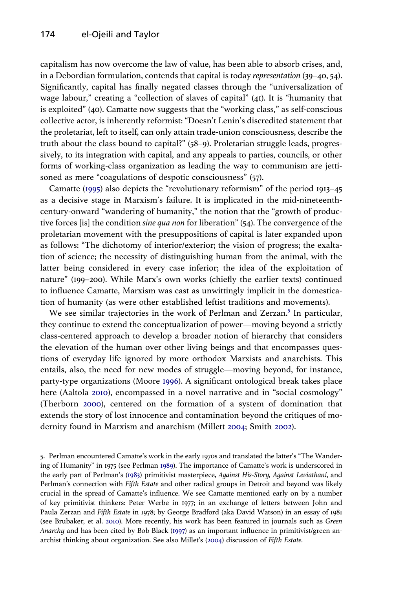<span id="page-7-0"></span>capitalism has now overcome the law of value, has been able to absorb crises, and, in a Debordian formulation, contends that capital is today representation (39–40, 54). Significantly, capital has finally negated classes through the "universalization of wage labour," creating a "collection of slaves of capital" (41). It is "humanity that is exploited" (40). Camatte now suggests that the "working class," as self-conscious collective actor, is inherently reformist: "Doesn't Lenin's discredited statement that the proletariat, left to itself, can only attain trade-union consciousness, describe the truth about the class bound to capital?" (58–9). Proletarian struggle leads, progressively, to its integration with capital, and any appeals to parties, councils, or other forms of working-class organization as leading the way to communism are jettisoned as mere "coagulations of despotic consciousness" (57).

Camatte ([1995\)](#page-17-0) also depicts the "revolutionary reformism" of the period 1913–45 as a decisive stage in Marxism's failure. It is implicated in the mid-nineteenthcentury-onward "wandering of humanity," the notion that the "growth of productive forces [is] the condition sine qua non for liberation" (54). The convergence of the proletarian movement with the presuppositions of capital is later expanded upon as follows: "The dichotomy of interior/exterior; the vision of progress; the exaltation of science; the necessity of distinguishing human from the animal, with the latter being considered in every case inferior; the idea of the exploitation of nature" (199–200). While Marx's own works (chiefly the earlier texts) continued to influence Camatte, Marxism was cast as unwittingly implicit in the domestication of humanity (as were other established leftist traditions and movements).

We see similar trajectories in the work of Perlman and Zerzan.<sup>5</sup> In particular, they continue to extend the conceptualization of power—moving beyond a strictly class-centered approach to develop a broader notion of hierarchy that considers the elevation of the human over other living beings and that encompasses questions of everyday life ignored by more orthodox Marxists and anarchists. This entails, also, the need for new modes of struggle—moving beyond, for instance, party-type organizations (Moore [1996\)](#page-18-0). A significant ontological break takes place here (Aaltola [2010](#page-16-0)), encompassed in a novel narrative and in "social cosmology" (Therborn [2000\)](#page-19-0), centered on the formation of a system of domination that extends the story of lost innocence and contamination beyond the critiques of modernity found in Marxism and anarchism (Millett [2004](#page-18-0); Smith [2002](#page-19-0)).

<sup>5.</sup> Perlman encountered Camatte's work in the early 1970s and translated the latter's "The Wandering of Humanity" in 1975 (see Perlman [1989](#page-18-0)). The importance of Camatte's work is underscored in the early part of Perlman's ([1983\)](#page-18-0) primitivist masterpiece, Against His-Story, Against Leviathan!, and Perlman's connection with Fifth Estate and other radical groups in Detroit and beyond was likely crucial in the spread of Camatte's influence. We see Camatte mentioned early on by a number of key primitivist thinkers: Peter Werbe in 1977; in an exchange of letters between John and Paula Zerzan and Fifth Estate in 1978; by George Bradford (aka David Watson) in an essay of 1981 (see Brubaker, et al. [2010](#page-17-0)). More recently, his work has been featured in journals such as Green Anarchy and has been cited by Bob Black [\(1997](#page-17-0)) as an important influence in primitivist/green anarchist thinking about organization. See also Millet's ([2004\)](#page-18-0) discussion of Fifth Estate.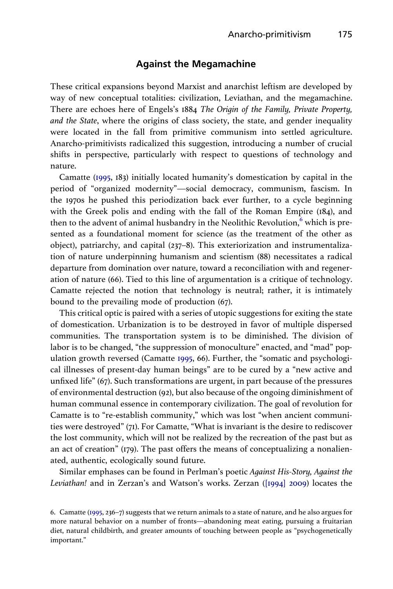#### Against the Megamachine

These critical expansions beyond Marxist and anarchist leftism are developed by way of new conceptual totalities: civilization, Leviathan, and the megamachine. There are echoes here of Engels's 1884 The Origin of the Family, Private Property, and the State, where the origins of class society, the state, and gender inequality were located in the fall from primitive communism into settled agriculture. Anarcho-primitivists radicalized this suggestion, introducing a number of crucial shifts in perspective, particularly with respect to questions of technology and nature.

Camatte ([1995,](#page-17-0) 183) initially located humanity's domestication by capital in the period of "organized modernity"—social democracy, communism, fascism. In the 1970s he pushed this periodization back ever further, to a cycle beginning with the Greek polis and ending with the fall of the Roman Empire (184), and then to the advent of animal husbandry in the Neolithic Revolution,<sup>6</sup> which is presented as a foundational moment for science (as the treatment of the other as object), patriarchy, and capital (237–8). This exteriorization and instrumentalization of nature underpinning humanism and scientism (88) necessitates a radical departure from domination over nature, toward a reconciliation with and regeneration of nature (66). Tied to this line of argumentation is a critique of technology. Camatte rejected the notion that technology is neutral; rather, it is intimately bound to the prevailing mode of production (67).

This critical optic is paired with a series of utopic suggestions for exiting the state of domestication. Urbanization is to be destroyed in favor of multiple dispersed communities. The transportation system is to be diminished. The division of labor is to be changed, "the suppression of monoculture" enacted, and "mad" population growth reversed (Camatte [1995,](#page-17-0) 66). Further, the "somatic and psychological illnesses of present-day human beings" are to be cured by a "new active and unfixed life" (67). Such transformations are urgent, in part because of the pressures of environmental destruction (92), but also because of the ongoing diminishment of human communal essence in contemporary civilization. The goal of revolution for Camatte is to "re-establish community," which was lost "when ancient communities were destroyed" (71). For Camatte, "What is invariant is the desire to rediscover the lost community, which will not be realized by the recreation of the past but as an act of creation" (179). The past offers the means of conceptualizing a nonalienated, authentic, ecologically sound future.

Similar emphases can be found in Perlman's poetic Against His-Story, Against the Leviathan! and in Zerzan's and Watson's works. Zerzan [\(\[1994\] 2009](#page-19-0)) locates the

<sup>6.</sup> Camatte ([1995](#page-17-0), 236–7) suggests that we return animals to a state of nature, and he also argues for more natural behavior on a number of fronts—abandoning meat eating, pursuing a fruitarian diet, natural childbirth, and greater amounts of touching between people as "psychogenetically important."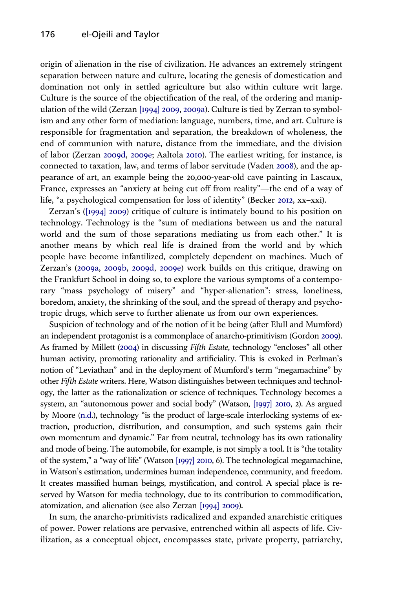<span id="page-9-0"></span>origin of alienation in the rise of civilization. He advances an extremely stringent separation between nature and culture, locating the genesis of domestication and domination not only in settled agriculture but also within culture writ large. Culture is the source of the objectification of the real, of the ordering and manipulation of the wild (Zerzan [\[1994\] 2009](#page-19-0), [2009a\)](#page-19-0). Culture is tied by Zerzan to symbolism and any other form of mediation: language, numbers, time, and art. Culture is responsible for fragmentation and separation, the breakdown of wholeness, the end of communion with nature, distance from the immediate, and the division of labor (Zerzan [2009d,](#page-19-0) [2009e](#page-19-0); Aaltola [2010\)](#page-16-0). The earliest writing, for instance, is connected to taxation, law, and terms of labor servitude (Vaden [2008\)](#page-19-0), and the appearance of art, an example being the 20,000-year-old cave painting in Lascaux, France, expresses an "anxiety at being cut off from reality"—the end of a way of life, "a psychological compensation for loss of identity" (Becker [2012,](#page-16-0) xx–xxi).

Zerzan's [\(\[1994\] 2009](#page-19-0)) critique of culture is intimately bound to his position on technology. Technology is the "sum of mediations between us and the natural world and the sum of those separations mediating us from each other." It is another means by which real life is drained from the world and by which people have become infantilized, completely dependent on machines. Much of Zerzan's ([2009a](#page-19-0), [2009b,](#page-19-0) [2009d,](#page-19-0) [2009e](#page-19-0)) work builds on this critique, drawing on the Frankfurt School in doing so, to explore the various symptoms of a contemporary "mass psychology of misery" and "hyper-alienation": stress, loneliness, boredom, anxiety, the shrinking of the soul, and the spread of therapy and psychotropic drugs, which serve to further alienate us from our own experiences.

Suspicion of technology and of the notion of it be being (after Elull and Mumford) an independent protagonist is a commonplace of anarcho-primitivism (Gordon [2009\)](#page-17-0). As framed by Millett [\(2004\)](#page-18-0) in discussing Fifth Estate, technology "encloses" all other human activity, promoting rationality and artificiality. This is evoked in Perlman's notion of "Leviathan" and in the deployment of Mumford's term "megamachine" by other Fifth Estate writers. Here, Watson distinguishes between techniques and technology, the latter as the rationalization or science of techniques. Technology becomes a system, an "autonomous power and social body" (Watson, [\[1997\] 2010](#page-19-0), 2). As argued by Moore ([n.d](#page-18-0).), technology "is the product of large-scale interlocking systems of extraction, production, distribution, and consumption, and such systems gain their own momentum and dynamic." Far from neutral, technology has its own rationality and mode of being. The automobile, for example, is not simply a tool. It is "the totality of the system," a "way of life" (Watson [\[1997\] 2010,](#page-19-0) 6). The technological megamachine, in Watson's estimation, undermines human independence, community, and freedom. It creates massified human beings, mystification, and control. A special place is reserved by Watson for media technology, due to its contribution to commodification, atomization, and alienation (see also Zerzan [\[1994\] 2009\)](#page-19-0).

In sum, the anarcho-primitivists radicalized and expanded anarchistic critiques of power. Power relations are pervasive, entrenched within all aspects of life. Civilization, as a conceptual object, encompasses state, private property, patriarchy,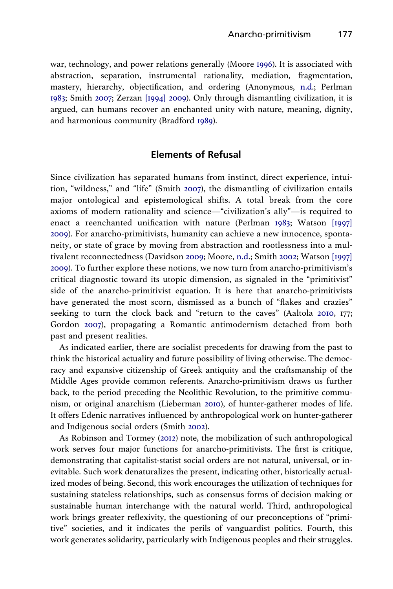<span id="page-10-0"></span>war, technology, and power relations generally (Moore [1996\)](#page-18-0). It is associated with abstraction, separation, instrumental rationality, mediation, fragmentation, mastery, hierarchy, objectification, and ordering (Anonymous, [n.d](#page-16-0).; Perlman [1983](#page-18-0); Smith [2007;](#page-19-0) Zerzan [\[1994\] 2009\)](#page-19-0). Only through dismantling civilization, it is argued, can humans recover an enchanted unity with nature, meaning, dignity, and harmonious community (Bradford [1989\)](#page-17-0).

#### Elements of Refusal

Since civilization has separated humans from instinct, direct experience, intuition, "wildness," and "life" (Smith [2007](#page-19-0)), the dismantling of civilization entails major ontological and epistemological shifts. A total break from the core axioms of modern rationality and science—"civilization's ally"—is required to enact a reenchanted unification with nature (Perlman [1983;](#page-18-0) Watson [\[1997\]](#page-19-0) [2009\)](#page-19-0). For anarcho-primitivists, humanity can achieve a new innocence, spontaneity, or state of grace by moving from abstraction and rootlessness into a multivalent reconnectedness (Davidson [2009](#page-17-0); Moore, [n.d.](#page-18-0); Smith [2002](#page-19-0); Watson [\[1997\]](#page-19-0) [2009\)](#page-19-0). To further explore these notions, we now turn from anarcho-primitivism's critical diagnostic toward its utopic dimension, as signaled in the "primitivist" side of the anarcho-primitivist equation. It is here that anarcho-primitivists have generated the most scorn, dismissed as a bunch of "flakes and crazies" seeking to turn the clock back and "return to the caves" (Aaltola [2010](#page-16-0), 177; Gordon [2007](#page-17-0)), propagating a Romantic antimodernism detached from both past and present realities.

As indicated earlier, there are socialist precedents for drawing from the past to think the historical actuality and future possibility of living otherwise. The democracy and expansive citizenship of Greek antiquity and the craftsmanship of the Middle Ages provide common referents. Anarcho-primitivism draws us further back, to the period preceding the Neolithic Revolution, to the primitive communism, or original anarchism (Lieberman [2010](#page-18-0)), of hunter-gatherer modes of life. It offers Edenic narratives influenced by anthropological work on hunter-gatherer and Indigenous social orders (Smith [2002\)](#page-19-0).

As Robinson and Tormey ([2012\)](#page-18-0) note, the mobilization of such anthropological work serves four major functions for anarcho-primitivists. The first is critique, demonstrating that capitalist-statist social orders are not natural, universal, or inevitable. Such work denaturalizes the present, indicating other, historically actualized modes of being. Second, this work encourages the utilization of techniques for sustaining stateless relationships, such as consensus forms of decision making or sustainable human interchange with the natural world. Third, anthropological work brings greater reflexivity, the questioning of our preconceptions of "primitive" societies, and it indicates the perils of vanguardist politics. Fourth, this work generates solidarity, particularly with Indigenous peoples and their struggles.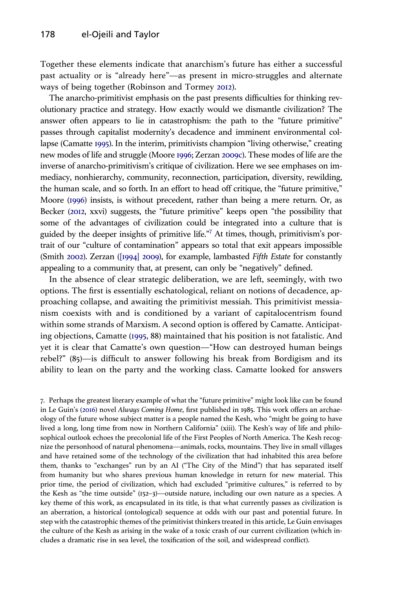<span id="page-11-0"></span>Together these elements indicate that anarchism's future has either a successful past actuality or is "already here"—as present in micro-struggles and alternate ways of being together (Robinson and Tormey [2012](#page-18-0)).

The anarcho-primitivist emphasis on the past presents difficulties for thinking revolutionary practice and strategy. How exactly would we dismantle civilization? The answer often appears to lie in catastrophism: the path to the "future primitive" passes through capitalist modernity's decadence and imminent environmental collapse (Camatte [1995\)](#page-17-0). In the interim, primitivists champion "living otherwise," creating new modes of life and struggle (Moore [1996;](#page-18-0) Zerzan [2009c\)](#page-19-0). These modes of life are the inverse of anarcho-primitivism's critique of civilization. Here we see emphases on immediacy, nonhierarchy, community, reconnection, participation, diversity, rewilding, the human scale, and so forth. In an effort to head off critique, the "future primitive," Moore [\(1996](#page-18-0)) insists, is without precedent, rather than being a mere return. Or, as Becker [\(2012](#page-16-0), xxvi) suggests, the "future primitive" keeps open "the possibility that some of the advantages of civilization could be integrated into a culture that is guided by the deeper insights of primitive life."<sup>7</sup> At times, though, primitivism's portrait of our "culture of contamination" appears so total that exit appears impossible (Smith [2002\)](#page-19-0). Zerzan ([\[1994\] 2009](#page-19-0)), for example, lambasted Fifth Estate for constantly appealing to a community that, at present, can only be "negatively" defined.

In the absence of clear strategic deliberation, we are left, seemingly, with two options. The first is essentially eschatological, reliant on notions of decadence, approaching collapse, and awaiting the primitivist messiah. This primitivist messianism coexists with and is conditioned by a variant of capitalocentrism found within some strands of Marxism. A second option is offered by Camatte. Anticipating objections, Camatte ([1995,](#page-17-0) 88) maintained that his position is not fatalistic. And yet it is clear that Camatte's own question—"How can destroyed human beings rebel?" (85)—is difficult to answer following his break from Bordigism and its ability to lean on the party and the working class. Camatte looked for answers

7. Perhaps the greatest literary example of what the "future primitive" might look like can be found in Le Guin's ([2016](#page-18-0)) novel Always Coming Home, first published in 1985. This work offers an archaeology of the future whose subject matter is a people named the Kesh, who "might be going to have lived a long, long time from now in Northern California" (xiii). The Kesh's way of life and philosophical outlook echoes the precolonial life of the First Peoples of North America. The Kesh recognize the personhood of natural phenomena—animals, rocks, mountains. They live in small villages and have retained some of the technology of the civilization that had inhabited this area before them, thanks to "exchanges" run by an AI ("The City of the Mind") that has separated itself from humanity but who shares previous human knowledge in return for new material. This prior time, the period of civilization, which had excluded "primitive cultures," is referred to by the Kesh as "the time outside" (152–3)—outside nature, including our own nature as a species. A key theme of this work, as encapsulated in its title, is that what currently passes as civilization is an aberration, a historical (ontological) sequence at odds with our past and potential future. In step with the catastrophic themes of the primitivist thinkers treated in this article, Le Guin envisages the culture of the Kesh as arising in the wake of a toxic crash of our current civilization (which includes a dramatic rise in sea level, the toxification of the soil, and widespread conflict).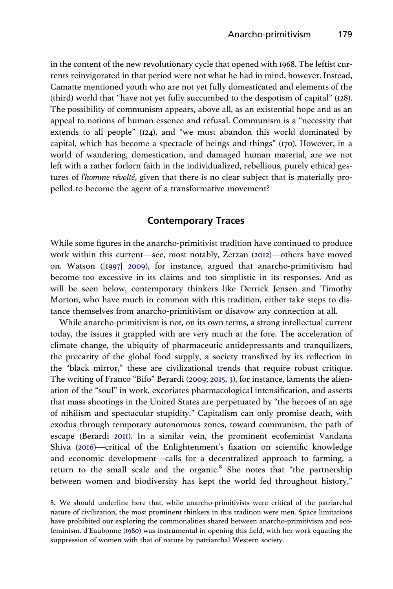<span id="page-12-0"></span>in the content of the new revolutionary cycle that opened with 1968. The leftist currents reinvigorated in that period were not what he had in mind, however. Instead, Camatte mentioned youth who are not yet fully domesticated and elements of the (third) world that "have not yet fully succumbed to the despotism of capital" (128). The possibility of communism appears, above all, as an existential hope and as an appeal to notions of human essence and refusal. Communism is a "necessity that extends to all people" (124), and "we must abandon this world dominated by capital, which has become a spectacle of beings and things" (170). However, in a world of wandering, domestication, and damaged human material, are we not left with a rather forlorn faith in the individualized, rebellious, purely ethical gestures of l'homme révolté, given that there is no clear subject that is materially propelled to become the agent of a transformative movement?

#### Contemporary Traces

While some figures in the anarcho-primitivist tradition have continued to produce work within this current—see, most notably, Zerzan [\(2012](#page-19-0))—others have moved on. Watson ([\[1997\] 2009\)](#page-19-0), for instance, argued that anarcho-primitivism had become too excessive in its claims and too simplistic in its responses. And as will be seen below, contemporary thinkers like Derrick Jensen and Timothy Morton, who have much in common with this tradition, either take steps to distance themselves from anarcho-primitivism or disavow any connection at all.

While anarcho-primitivism is not, on its own terms, a strong intellectual current today, the issues it grappled with are very much at the fore. The acceleration of climate change, the ubiquity of pharmaceutic antidepressants and tranquilizers, the precarity of the global food supply, a society transfixed by its reflection in the "black mirror," these are civilizational trends that require robust critique. The writing of Franco "Bifo" Berardi ([2009](#page-16-0); [2015,](#page-16-0) 3), for instance, laments the alienation of the "soul" in work, excoriates pharmacological intensification, and asserts that mass shootings in the United States are perpetuated by "the heroes of an age of nihilism and spectacular stupidity." Capitalism can only promise death, with exodus through temporary autonomous zones, toward communism, the path of escape (Berardi [2011\)](#page-16-0). In a similar vein, the prominent ecofeminist Vandana Shiva ([2016\)](#page-19-0)—critical of the Enlightenment's fixation on scientific knowledge and economic development—calls for a decentralized approach to farming, a return to the small scale and the organic. $8$  She notes that "the partnership between women and biodiversity has kept the world fed throughout history,"

<sup>8.</sup> We should underline here that, while anarcho-primitivists were critical of the patriarchal nature of civilization, the most prominent thinkers in this tradition were men. Space limitations have prohibited our exploring the commonalities shared between anarcho-primitivism and ecofeminism. d'Eaubonne [\(1980\)](#page-17-0) was instrumental in opening this field, with her work equating the suppression of women with that of nature by patriarchal Western society.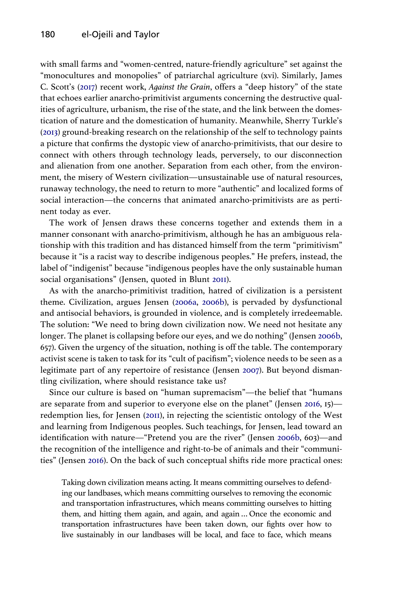<span id="page-13-0"></span>with small farms and "women-centred, nature-friendly agriculture" set against the "monocultures and monopolies" of patriarchal agriculture (xvi). Similarly, James C. Scott's ([2017\)](#page-19-0) recent work, Against the Grain, offers a "deep history" of the state that echoes earlier anarcho-primitivist arguments concerning the destructive qualities of agriculture, urbanism, the rise of the state, and the link between the domestication of nature and the domestication of humanity. Meanwhile, Sherry Turkle's [\(2013](#page-19-0)) ground-breaking research on the relationship of the self to technology paints a picture that confirms the dystopic view of anarcho-primitivists, that our desire to connect with others through technology leads, perversely, to our disconnection and alienation from one another. Separation from each other, from the environment, the misery of Western civilization—unsustainable use of natural resources, runaway technology, the need to return to more "authentic" and localized forms of social interaction—the concerns that animated anarcho-primitivists are as pertinent today as ever.

The work of Jensen draws these concerns together and extends them in a manner consonant with anarcho-primitivism, although he has an ambiguous relationship with this tradition and has distanced himself from the term "primitivism" because it "is a racist way to describe indigenous peoples." He prefers, instead, the label of "indigenist" because "indigenous peoples have the only sustainable human social organisations" (Jensen, quoted in Blunt [2011](#page-17-0)).

As with the anarcho-primitivist tradition, hatred of civilization is a persistent theme. Civilization, argues Jensen [\(2006a](#page-18-0), [2006b\)](#page-18-0), is pervaded by dysfunctional and antisocial behaviors, is grounded in violence, and is completely irredeemable. The solution: "We need to bring down civilization now. We need not hesitate any longer. The planet is collapsing before our eyes, and we do nothing" (Jensen [2006b](#page-18-0), 657). Given the urgency of the situation, nothing is off the table. The contemporary activist scene is taken to task for its "cult of pacifism"; violence needs to be seen as a legitimate part of any repertoire of resistance (Jensen [2007\)](#page-18-0). But beyond dismantling civilization, where should resistance take us?

Since our culture is based on "human supremacism"—the belief that "humans are separate from and superior to everyone else on the planet" (Jensen [2016](#page-18-0), 15) redemption lies, for Jensen ([2011](#page-18-0)), in rejecting the scientistic ontology of the West and learning from Indigenous peoples. Such teachings, for Jensen, lead toward an identification with nature—"Pretend you are the river" (Jensen [2006b](#page-18-0), 603)—and the recognition of the intelligence and right-to-be of animals and their "communities" (Jensen [2016\)](#page-18-0). On the back of such conceptual shifts ride more practical ones:

Taking down civilization means acting. It means committing ourselves to defending our landbases, which means committing ourselves to removing the economic and transportation infrastructures, which means committing ourselves to hitting them, and hitting them again, and again, and again … Once the economic and transportation infrastructures have been taken down, our fights over how to live sustainably in our landbases will be local, and face to face, which means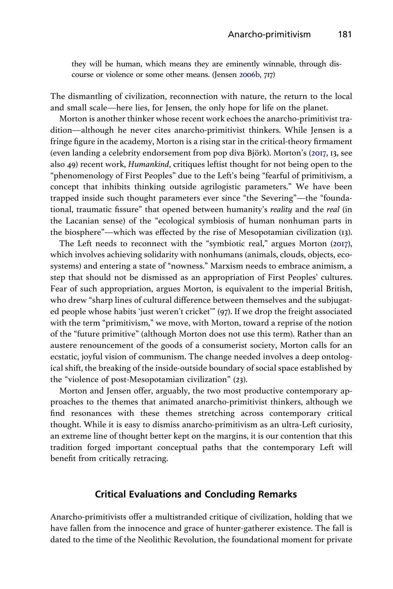<span id="page-14-0"></span>they will be human, which means they are eminently winnable, through discourse or violence or some other means. (Jensen [2006b](#page-18-0), 717)

The dismantling of civilization, reconnection with nature, the return to the local and small scale—here lies, for Jensen, the only hope for life on the planet.

Morton is another thinker whose recent work echoes the anarcho-primitivist tradition—although he never cites anarcho-primitivist thinkers. While Jensen is a fringe figure in the academy, Morton is a rising star in the critical-theory firmament (even landing a celebrity endorsement from pop diva Björk). Morton's ([2017](#page-18-0), 13, see also 49) recent work, Humankind, critiques leftist thought for not being open to the "phenomenology of First Peoples" due to the Left's being "fearful of primitivism, a concept that inhibits thinking outside agrilogistic parameters." We have been trapped inside such thought parameters ever since "the Severing"—the "foundational, traumatic fissure" that opened between humanity's reality and the real (in the Lacanian sense) of the "ecological symbiosis of human nonhuman parts in the biosphere"—which was effected by the rise of Mesopotamian civilization (13).

The Left needs to reconnect with the "symbiotic real," argues Morton [\(2017\)](#page-18-0), which involves achieving solidarity with nonhumans (animals, clouds, objects, ecosystems) and entering a state of "nowness." Marxism needs to embrace animism, a step that should not be dismissed as an appropriation of First Peoples' cultures. Fear of such appropriation, argues Morton, is equivalent to the imperial British, who drew "sharp lines of cultural difference between themselves and the subjugated people whose habits 'just weren't cricket'" (97). If we drop the freight associated with the term "primitivism," we move, with Morton, toward a reprise of the notion of the "future primitive" (although Morton does not use this term). Rather than an austere renouncement of the goods of a consumerist society, Morton calls for an ecstatic, joyful vision of communism. The change needed involves a deep ontological shift, the breaking of the inside-outside boundary of social space established by the "violence of post-Mesopotamian civilization" (23).

Morton and Jensen offer, arguably, the two most productive contemporary approaches to the themes that animated anarcho-primitivist thinkers, although we find resonances with these themes stretching across contemporary critical thought. While it is easy to dismiss anarcho-primitivism as an ultra-Left curiosity, an extreme line of thought better kept on the margins, it is our contention that this tradition forged important conceptual paths that the contemporary Left will benefit from critically retracing.

#### Critical Evaluations and Concluding Remarks

Anarcho-primitivists offer a multistranded critique of civilization, holding that we have fallen from the innocence and grace of hunter-gatherer existence. The fall is dated to the time of the Neolithic Revolution, the foundational moment for private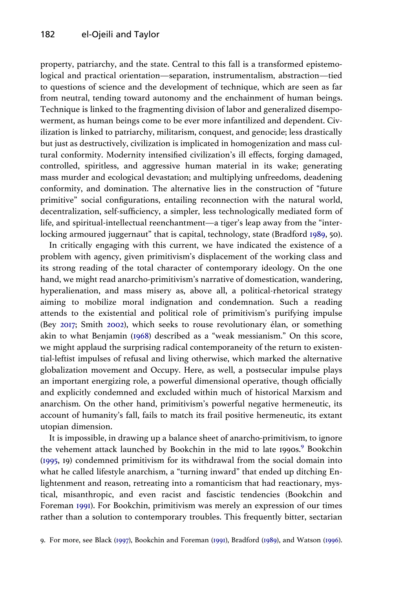<span id="page-15-0"></span>property, patriarchy, and the state. Central to this fall is a transformed epistemological and practical orientation—separation, instrumentalism, abstraction—tied to questions of science and the development of technique, which are seen as far from neutral, tending toward autonomy and the enchainment of human beings. Technique is linked to the fragmenting division of labor and generalized disempowerment, as human beings come to be ever more infantilized and dependent. Civilization is linked to patriarchy, militarism, conquest, and genocide; less drastically but just as destructively, civilization is implicated in homogenization and mass cultural conformity. Modernity intensified civilization's ill effects, forging damaged, controlled, spiritless, and aggressive human material in its wake; generating mass murder and ecological devastation; and multiplying unfreedoms, deadening conformity, and domination. The alternative lies in the construction of "future primitive" social configurations, entailing reconnection with the natural world, decentralization, self-sufficiency, a simpler, less technologically mediated form of life, and spiritual-intellectual reenchantment—a tiger's leap away from the "interlocking armoured juggernaut" that is capital, technology, state (Bradford [1989](#page-17-0), 50).

In critically engaging with this current, we have indicated the existence of a problem with agency, given primitivism's displacement of the working class and its strong reading of the total character of contemporary ideology. On the one hand, we might read anarcho-primitivism's narrative of domestication, wandering, hyperalienation, and mass misery as, above all, a political-rhetorical strategy aiming to mobilize moral indignation and condemnation. Such a reading attends to the existential and political role of primitivism's purifying impulse (Bey [2017;](#page-16-0) Smith [2002\)](#page-19-0), which seeks to rouse revolutionary élan, or something akin to what Benjamin [\(1968\)](#page-16-0) described as a "weak messianism." On this score, we might applaud the surprising radical contemporaneity of the return to existential-leftist impulses of refusal and living otherwise, which marked the alternative globalization movement and Occupy. Here, as well, a postsecular impulse plays an important energizing role, a powerful dimensional operative, though officially and explicitly condemned and excluded within much of historical Marxism and anarchism. On the other hand, primitivism's powerful negative hermeneutic, its account of humanity's fall, fails to match its frail positive hermeneutic, its extant utopian dimension.

It is impossible, in drawing up a balance sheet of anarcho-primitivism, to ignore the vehement attack launched by Bookchin in the mid to late 1990s.<sup>9</sup> Bookchin [\(1995](#page-17-0), 19) condemned primitivism for its withdrawal from the social domain into what he called lifestyle anarchism, a "turning inward" that ended up ditching Enlightenment and reason, retreating into a romanticism that had reactionary, mystical, misanthropic, and even racist and fascistic tendencies (Bookchin and Foreman [1991](#page-17-0)). For Bookchin, primitivism was merely an expression of our times rather than a solution to contemporary troubles. This frequently bitter, sectarian

<sup>9.</sup> For more, see Black ([1997\)](#page-17-0), Bookchin and Foreman [\(1991\)](#page-17-0), Bradford ([1989\)](#page-17-0), and Watson [\(1996](#page-19-0)).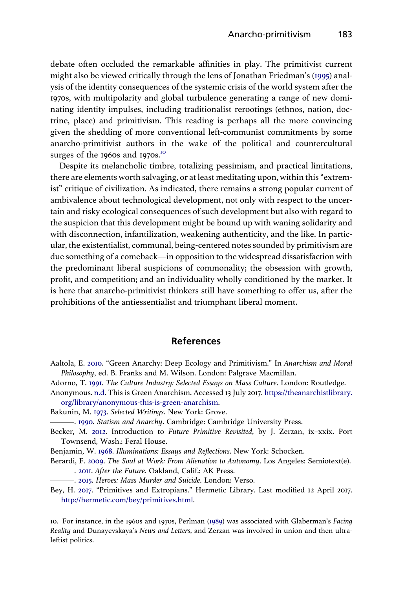<span id="page-16-0"></span>debate often occluded the remarkable affinities in play. The primitivist current might also be viewed critically through the lens of Jonathan Friedman's [\(1995](#page-17-0)) analysis of the identity consequences of the systemic crisis of the world system after the 1970s, with multipolarity and global turbulence generating a range of new dominating identity impulses, including traditionalist rerootings (ethnos, nation, doctrine, place) and primitivism. This reading is perhaps all the more convincing given the shedding of more conventional left-communist commitments by some anarcho-primitivist authors in the wake of the political and countercultural surges of the 1960s and 1970s.<sup>10</sup>

Despite its melancholic timbre, totalizing pessimism, and practical limitations, there are elements worth salvaging, or at least meditating upon, within this"extremist" critique of civilization. As indicated, there remains a strong popular current of ambivalence about technological development, not only with respect to the uncertain and risky ecological consequences of such development but also with regard to the suspicion that this development might be bound up with waning solidarity and with disconnection, infantilization, weakening authenticity, and the like. In particular, the existentialist, communal, being-centered notes sounded by primitivism are due something of a comeback—in opposition to the widespread dissatisfaction with the predominant liberal suspicions of commonality; the obsession with growth, profit, and competition; and an individuality wholly conditioned by the market. It is here that anarcho-primitivist thinkers still have something to offer us, after the prohibitions of the antiessentialist and triumphant liberal moment.

#### References

- Aaltola, E. [2010.](#page-7-0) "Green Anarchy: Deep Ecology and Primitivism." In Anarchism and Moral Philosophy, ed. B. Franks and M. Wilson. London: Palgrave Macmillan.
- Adorno, T. [1991.](#page-4-0) The Culture Industry: Selected Essays on Mass Culture. London: Routledge.
- Anonymous. [n.d.](#page-10-0) This is Green Anarchism. Accessed 13 July 2017. [https://theanarchistlibrary.](https://theanarchistlibrary.org/library/anonymous-this-is-green-anarchism) [org/library/anonymous-this-is-green-anarchism.](https://theanarchistlibrary.org/library/anonymous-this-is-green-anarchism)
- Bakunin, M. [1973.](#page-3-0) Selected Writings. New York: Grove.
- ... [1990.](#page-4-0) Statism and Anarchy. Cambridge: Cambridge University Press.
- Becker, M. [2012.](#page-2-0) Introduction to Future Primitive Revisited, by J. Zerzan, ix–xxix. Port Townsend, Wash.: Feral House.
- Benjamin, W. [1968](#page-4-0). Illuminations: Essays and Reflections. New York: Schocken.
- Berardi, F. [2009](#page-12-0). The Soul at Work: From Alienation to Autonomy. Los Angeles: Semiotext(e).
- ... [2011.](#page-12-0) After the Future. Oakland, Calif.: AK Press.
- . [2015](#page-12-0). Heroes: Mass Murder and Suicide. London: Verso.
- Bey, H. [2017](#page-15-0). "Primitives and Extropians." Hermetic Library. Last modified 12 April 2017. <http://hermetic.com/bey/primitives.html>.

10. For instance, in the 1960s and 1970s, Perlman ([1989\)](#page-18-0) was associated with Glaberman's Facing Reality and Dunayevskaya's News and Letters, and Zerzan was involved in union and then ultraleftist politics.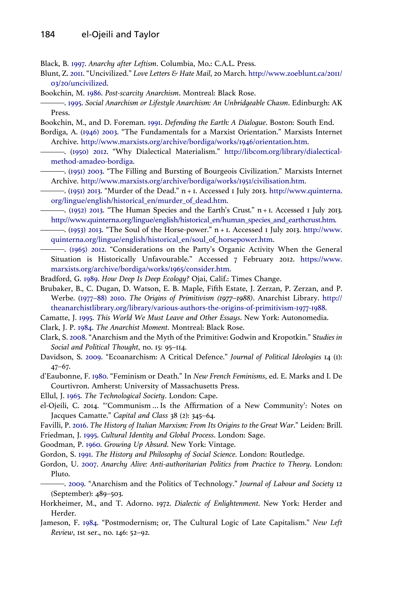<span id="page-17-0"></span>Black, B. [1997](#page-7-0). Anarchy after Leftism. Columbia, Mo.: C.A.L. Press.

- Blunt, Z. [2011](#page-13-0). "Uncivilized." Love Letters & Hate Mail, 20 March. [http://www.zoeblunt.ca/2011/](http://www.zoeblunt.ca/2011/03/20/uncivilized) [03/20/uncivilized](http://www.zoeblunt.ca/2011/03/20/uncivilized).
- Bookchin, M. [1986.](#page-6-0) Post-scarcity Anarchism. Montreal: Black Rose.
- . [1995.](#page-15-0) Social Anarchism or Lifestyle Anarchism: An Unbridgeable Chasm. Edinburgh: AK Press.
- Bookchin, M., and D. Foreman. [1991](#page-15-0). Defending the Earth: A Dialogue. Boston: South End.
- Bordiga, A. [\(1946\) 2003.](#page-5-0) "The Fundamentals for a Marxist Orientation." Marxists Internet Archive. <http://www.marxists.org/archive/bordiga/works/1946/orientation.htm>.
	- . ([1950\) 2012](#page-5-0). "Why Dialectical Materialism." [http://libcom.org/library/dialectical](http://libcom.org/library/dialectical-method-amadeo-bordiga)[method-amadeo-bordiga.](http://libcom.org/library/dialectical-method-amadeo-bordiga)
	- . [\(1951\) 2003.](#page-5-0) "The Filling and Bursting of Bourgeois Civilization." Marxists Internet Archive. <http://www.marxists.org/archive/bordiga/works/1951/civilisation.htm>.
	- . [\(1951\) 2013](#page-5-0). "Murder of the Dead." n + 1. Accessed 1 July 2013. [http://www.quinterna.](http://www.quinterna.org/lingue/english/historical_en/murder_of_dead.htm) [org/lingue/english/historical\\_en/murder\\_of\\_dead.htm](http://www.quinterna.org/lingue/english/historical_en/murder_of_dead.htm).
	- . [\(1952\) 2013.](#page-5-0) "The Human Species and the Earth's Crust." n + 1. Accessed 1 July 2013. [http://www.quinterna.org/lingue/english/historical\\_en/human\\_species\\_and\\_earthcrust.htm](http://www.quinterna.org/lingue/english/historical_en/human_species_and_earthcrust.htm).
	- . ([1953\) 2013.](#page-5-0) "The Soul of the Horse-power." n + 1. Accessed 1 July 2013. [http://www.](http://www.quinterna.org/lingue/english/historical_en/soul_of_horsepower.htm) [quinterna.org/lingue/english/historical\\_en/soul\\_of\\_horsepower.htm](http://www.quinterna.org/lingue/english/historical_en/soul_of_horsepower.htm).
- . [\(1965\) 2012.](#page-5-0) "Considerations on the Party's Organic Activity When the General Situation is Historically Unfavourable." Accessed 7 February 2012. [https://www.](https://www.marxists.org/archive/bordiga/works/1965/consider.htm) [marxists.org/archive/bordiga/works/1965/consider.htm](https://www.marxists.org/archive/bordiga/works/1965/consider.htm).
- Bradford, G. [1989](#page-10-0). How Deep Is Deep Ecology? Ojai, Calif.: Times Change.
- Brubaker, B., C. Dugan, D. Watson, E. B. Maple, Fifth Estate, J. Zerzan, P. Zerzan, and P. Werbe. (1977–[88\) 2010](#page-7-0). The Origins of Primitivism (1977–1988). Anarchist Library. [http://](http://theanarchistlibrary.org/library/various-authors-the-origins-of-primitivism-1977-1988) [theanarchistlibrary.org/library/various-authors-the-origins-of-primitivism-1977-1988](http://theanarchistlibrary.org/library/various-authors-the-origins-of-primitivism-1977-1988).
- Camatte, J. [1995](#page-6-0). This World We Must Leave and Other Essays. New York: Autonomedia.
- Clark, J. P. [1984](#page-3-0). The Anarchist Moment. Montreal: Black Rose.
- Clark, S. [2008](#page-3-0). "Anarchism and the Myth of the Primitive: Godwin and Kropotkin." Studies in Social and Political Thought, no. 15: 95–114.
- Davidson, S. [2009.](#page-10-0) "Ecoanarchism: A Critical Defence." Journal of Political Ideologies 14 (1): 47–67.
- d'Eaubonne, F. [1980.](#page-12-0) "Feminism or Death." In New French Feminisms, ed. E. Marks and I. De Courtivron. Amherst: University of Massachusetts Press.
- Ellul, J. [1965.](#page-5-0) The Technological Society. London: Cape.
- el-Ojeili, C. 2014. "'Communism … Is the Affirmation of a New Community': Notes on Jacques Camatte." Capital and Class 38 (2): 345–64.
- Favilli, P. [2016](#page-5-0). The History of Italian Marxism: From Its Origins to the Great War." Leiden: Brill. Friedman, J. [1995](#page-16-0). Cultural Identity and Global Process. London: Sage.
- Goodman, P. [1960.](#page-5-0) Growing Up Absurd. New York: Vintage.
- Gordon, S. [1991.](#page-2-0) The History and Philosophy of Social Science. London: Routledge.
- Gordon, U. [2007.](#page-4-0) Anarchy Alive: Anti-authoritarian Politics from Practice to Theory. London: Pluto.
- . [2009.](#page-4-0) "Anarchism and the Politics of Technology." Journal of Labour and Society 12 (September): 489–503.
- Horkheimer, M., and T. Adorno. 1972. Dialectic of Enlightenment. New York: Herder and Herder.
- Jameson, F. [1984](#page-3-0). "Postmodernism; or, The Cultural Logic of Late Capitalism." New Left Review, 1st ser., no. 146: 52–92.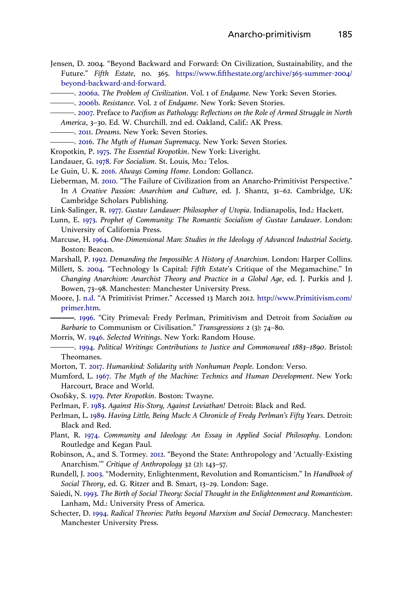- <span id="page-18-0"></span>Jensen, D. 2004. "Beyond Backward and Forward: On Civilization, Sustainability, and the Future." Fifth Estate, no. 365. https://www.fi[fthestate.org/archive/365-summer-2004/](https://www.fifthestate.org/archive/365-summer-2004/beyond-backward-and-forward) [beyond-backward-and-forward](https://www.fifthestate.org/archive/365-summer-2004/beyond-backward-and-forward).
	- ... [2006a](#page-13-0). The Problem of Civilization. Vol. 1 of Endgame. New York: Seven Stories.
	- . [2006b.](#page-13-0) Resistance. Vol. 2 of Endgame. New York: Seven Stories.
- . [2007.](#page-13-0) Preface to Pacifism as Pathology: Reflections on the Role of Armed Struggle in North
- America, 3–30. Ed. W. Churchill. 2nd ed. Oakland, Calif.: AK Press.
- -. [2011.](#page-13-0) Dreams. New York: Seven Stories.
- . [2016](#page-13-0). The Myth of Human Supremacy. New York: Seven Stories.
- Kropotkin, P. [1975](#page-4-0). The Essential Kropotkin. New York: Liveright.
- Landauer, G. [1978](#page-4-0). For Socialism. St. Louis, Mo.: Telos.
- Le Guin, U. K. [2016.](#page-11-0) Always Coming Home. London: Gollancz.
- Lieberman, M. [2010.](#page-10-0) "The Failure of Civilization from an Anarcho-Primitivist Perspective." In A Creative Passion: Anarchism and Culture, ed. J. Shantz, 31–62. Cambridge, UK: Cambridge Scholars Publishing.

Link-Salinger, R. [1977.](#page-4-0) Gustav Landauer: Philosopher of Utopia. Indianapolis, Ind.: Hackett.

- Lunn, E. [1973.](#page-4-0) Prophet of Community: The Romantic Socialism of Gustav Landauer. London: University of California Press.
- Marcuse, H. [1964](#page-4-0). One-Dimensional Man: Studies in the Ideology of Advanced Industrial Society. Boston: Beacon.

Marshall, P. [1992](#page-3-0). Demanding the Impossible: A History of Anarchism. London: Harper Collins.

- Millett, S. [2004.](#page-2-0) "Technology Is Capital: Fifth Estate's Critique of the Megamachine." In Changing Anarchism: Anarchist Theory and Practice in a Global Age, ed. J. Purkis and J. Bowen, 73–98. Manchester: Manchester University Press.
- Moore, J. [n.d.](#page-1-0) "A Primitivist Primer." Accessed 13 March 2012. [http://www.Primitivism.com/](http://www.Primitivism.com/primer.htm) [primer.htm](http://www.Primitivism.com/primer.htm).

. [1996](#page-2-0). "City Primeval: Fredy Perlman, Primitivism and Detroit from Socialism ou Barbarie to Communism or Civilisation." Transgressions 2 (3): 74-80.

- Morris, W. [1946.](#page-3-0) Selected Writings. New York: Random House.
- . [1994.](#page-3-0) Political Writings: Contributions to Justice and Commonweal 1883–1890. Bristol: Theomanes.
- Morton, T. [2017](#page-14-0). Humankind: Solidarity with Nonhuman People. London: Verso.
- Mumford, L. [1967](#page-5-0). The Myth of the Machine: Technics and Human Development. New York: Harcourt, Brace and World.
- Osofsky, S. [1979.](#page-4-0) Peter Kropotkin. Boston: Twayne.
- Perlman, F. [1983.](#page-5-0) Against His-Story, Against Leviathan! Detroit: Black and Red.
- Perlman, L. [1989.](#page-7-0) Having Little, Being Much: A Chronicle of Fredy Perlman's Fifty Years. Detroit: Black and Red.
- Plant, R. [1974](#page-2-0). Community and Ideology: An Essay in Applied Social Philosophy. London: Routledge and Kegan Paul.
- Robinson, A., and S. Tormey. [2012](#page-10-0). "Beyond the State: Anthropology and 'Actually-Existing Anarchism.'" Critique of Anthropology 32 (2): 143–57.
- Rundell, J. [2003.](#page-2-0) "Modernity, Enlightenment, Revolution and Romanticism." In Handbook of Social Theory, ed. G. Ritzer and B. Smart, 13-29. London: Sage.
- Saiedi, N. [1993](#page-2-0). The Birth of Social Theory: Social Thought in the Enlightenment and Romanticism. Lanham, Md.: University Press of America.
- Schecter, D. [1994](#page-4-0). Radical Theories: Paths beyond Marxism and Social Democracy. Manchester: Manchester University Press.